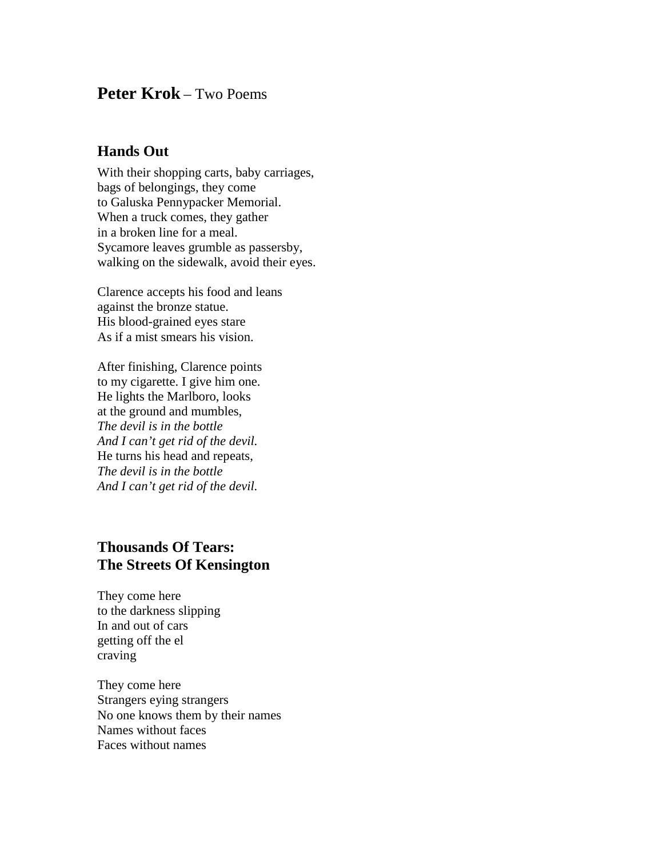## **Peter Krok** – Two Poems

## **Hands Out**

With their shopping carts, baby carriages, bags of belongings, they come to Galuska Pennypacker Memorial. When a truck comes, they gather in a broken line for a meal. Sycamore leaves grumble as passersby, walking on the sidewalk, avoid their eyes.

Clarence accepts his food and leans against the bronze statue. His blood-grained eyes stare As if a mist smears his vision.

After finishing, Clarence points to my cigarette. I give him one. He lights the Marlboro, looks at the ground and mumbles, *The devil is in the bottle And I can't get rid of the devil.* He turns his head and repeats, *The devil is in the bottle And I can't get rid of the devil.*

## **Thousands Of Tears: The Streets Of Kensington**

They come here to the darkness slipping In and out of cars getting off the el craving

They come here Strangers eying strangers No one knows them by their names Names without faces Faces without names